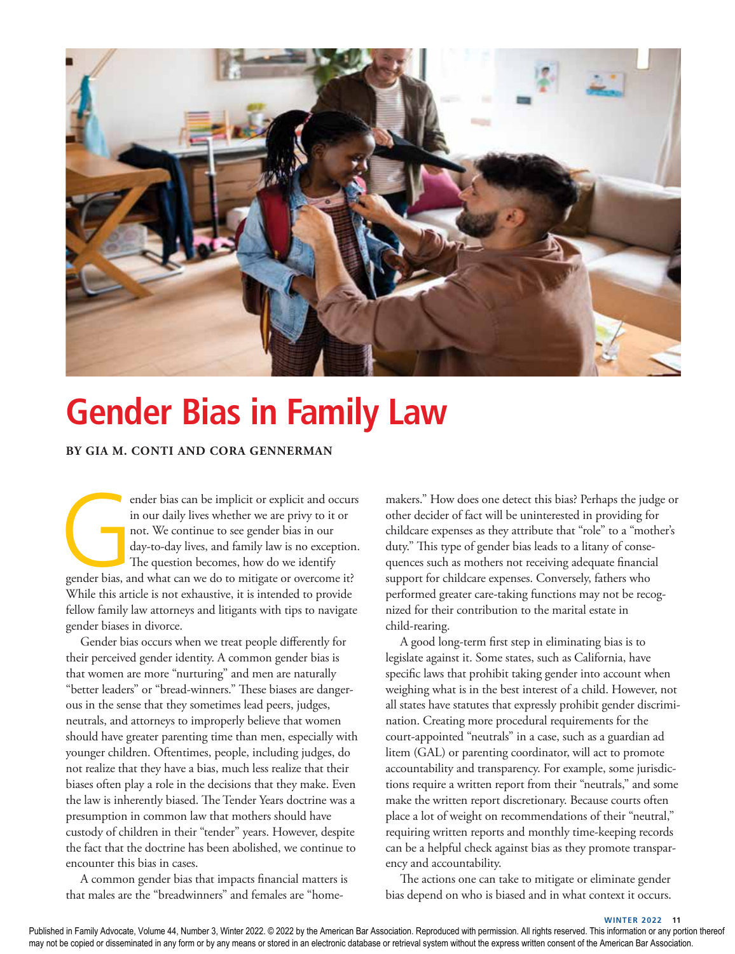

# **Gender Bias in Family Law**

## **BY GIA M. CONTI AND CORA GENNERMAN**

ender bias can be implicit or explicit and occurs<br>
in our daily lives whether we are privy to it or<br>
not. We continue to see gender bias in our<br>
day-to-day lives, and family law is no exception.<br>
The question becomes, how in our daily lives whether we are privy to it or not. We continue to see gender bias in our day-to-day lives, and family law is no exception. The question becomes, how do we identify While this article is not exhaustive, it is intended to provide fellow family law attorneys and litigants with tips to navigate gender biases in divorce.

Gender bias occurs when we treat people differently for their perceived gender identity. A common gender bias is that women are more "nurturing" and men are naturally "better leaders" or "bread-winners." These biases are dangerous in the sense that they sometimes lead peers, judges, neutrals, and attorneys to improperly believe that women should have greater parenting time than men, especially with younger children. Oftentimes, people, including judges, do not realize that they have a bias, much less realize that their biases often play a role in the decisions that they make. Even the law is inherently biased. The Tender Years doctrine was a presumption in common law that mothers should have custody of children in their "tender" years. However, despite the fact that the doctrine has been abolished, we continue to encounter this bias in cases.

A common gender bias that impacts financial matters is that males are the "breadwinners" and females are "home-

makers." How does one detect this bias? Perhaps the judge or other decider of fact will be uninterested in providing for childcare expenses as they attribute that "role" to a "mother's duty." This type of gender bias leads to a litany of consequences such as mothers not receiving adequate financial support for childcare expenses. Conversely, fathers who performed greater care-taking functions may not be recognized for their contribution to the marital estate in child-rearing.

A good long-term first step in eliminating bias is to legislate against it. Some states, such as California, have specific laws that prohibit taking gender into account when weighing what is in the best interest of a child. However, not all states have statutes that expressly prohibit gender discrimination. Creating more procedural requirements for the court-appointed "neutrals" in a case, such as a guardian ad litem (GAL) or parenting coordinator, will act to promote accountability and transparency. For example, some jurisdictions require a written report from their "neutrals," and some make the written report discretionary. Because courts often place a lot of weight on recommendations of their "neutral," requiring written reports and monthly time-keeping records can be a helpful check against bias as they promote transparency and accountability.

The actions one can take to mitigate or eliminate gender bias depend on who is biased and in what context it occurs.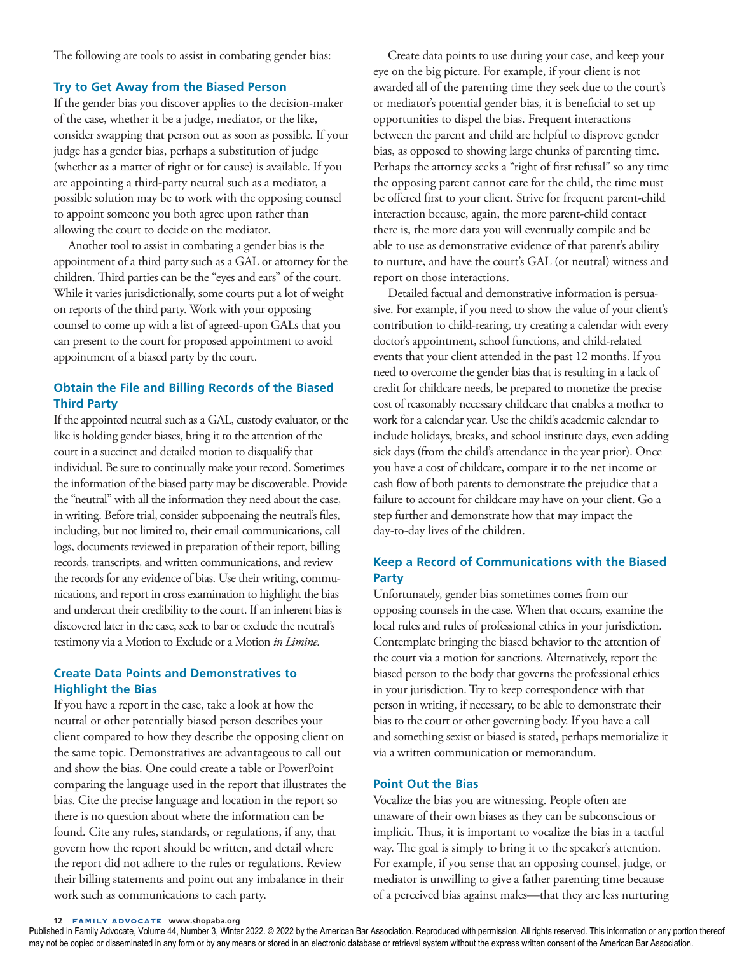The following are tools to assist in combating gender bias:

#### **Try to Get Away from the Biased Person**

If the gender bias you discover applies to the decision-maker of the case, whether it be a judge, mediator, or the like, consider swapping that person out as soon as possible. If your judge has a gender bias, perhaps a substitution of judge (whether as a matter of right or for cause) is available. If you are appointing a third-party neutral such as a mediator, a possible solution may be to work with the opposing counsel to appoint someone you both agree upon rather than allowing the court to decide on the mediator.

Another tool to assist in combating a gender bias is the appointment of a third party such as a GAL or attorney for the children. Third parties can be the "eyes and ears" of the court. While it varies jurisdictionally, some courts put a lot of weight on reports of the third party. Work with your opposing counsel to come up with a list of agreed-upon GALs that you can present to the court for proposed appointment to avoid appointment of a biased party by the court.

# **Obtain the File and Billing Records of the Biased Third Party**

If the appointed neutral such as a GAL, custody evaluator, or the like is holding gender biases, bring it to the attention of the court in a succinct and detailed motion to disqualify that individual. Be sure to continually make your record. Sometimes the information of the biased party may be discoverable. Provide the "neutral" with all the information they need about the case, in writing. Before trial, consider subpoenaing the neutral's files, including, but not limited to, their email communications, call logs, documents reviewed in preparation of their report, billing records, transcripts, and written communications, and review the records for any evidence of bias. Use their writing, communications, and report in cross examination to highlight the bias and undercut their credibility to the court. If an inherent bias is discovered later in the case, seek to bar or exclude the neutral's testimony via a Motion to Exclude or a Motion *in Limine.*

# **Create Data Points and Demonstratives to Highlight the Bias**

If you have a report in the case, take a look at how the neutral or other potentially biased person describes your client compared to how they describe the opposing client on the same topic. Demonstratives are advantageous to call out and show the bias. One could create a table or PowerPoint comparing the language used in the report that illustrates the bias. Cite the precise language and location in the report so there is no question about where the information can be found. Cite any rules, standards, or regulations, if any, that govern how the report should be written, and detail where the report did not adhere to the rules or regulations. Review their billing statements and point out any imbalance in their work such as communications to each party.

Create data points to use during your case, and keep your eye on the big picture. For example, if your client is not awarded all of the parenting time they seek due to the court's or mediator's potential gender bias, it is beneficial to set up opportunities to dispel the bias. Frequent interactions between the parent and child are helpful to disprove gender bias, as opposed to showing large chunks of parenting time. Perhaps the attorney seeks a "right of first refusal" so any time the opposing parent cannot care for the child, the time must be offered first to your client. Strive for frequent parent-child interaction because, again, the more parent-child contact there is, the more data you will eventually compile and be able to use as demonstrative evidence of that parent's ability to nurture, and have the court's GAL (or neutral) witness and report on those interactions.

Detailed factual and demonstrative information is persuasive. For example, if you need to show the value of your client's contribution to child-rearing, try creating a calendar with every doctor's appointment, school functions, and child-related events that your client attended in the past 12 months. If you need to overcome the gender bias that is resulting in a lack of credit for childcare needs, be prepared to monetize the precise cost of reasonably necessary childcare that enables a mother to work for a calendar year. Use the child's academic calendar to include holidays, breaks, and school institute days, even adding sick days (from the child's attendance in the year prior). Once you have a cost of childcare, compare it to the net income or cash flow of both parents to demonstrate the prejudice that a failure to account for childcare may have on your client. Go a step further and demonstrate how that may impact the day-to-day lives of the children.

## **Keep a Record of Communications with the Biased Party**

Unfortunately, gender bias sometimes comes from our opposing counsels in the case. When that occurs, examine the local rules and rules of professional ethics in your jurisdiction. Contemplate bringing the biased behavior to the attention of the court via a motion for sanctions. Alternatively, report the biased person to the body that governs the professional ethics in your jurisdiction. Try to keep correspondence with that person in writing, if necessary, to be able to demonstrate their bias to the court or other governing body. If you have a call and something sexist or biased is stated, perhaps memorialize it via a written communication or memorandum.

## **Point Out the Bias**

Vocalize the bias you are witnessing. People often are unaware of their own biases as they can be subconscious or implicit. Thus, it is important to vocalize the bias in a tactful way. The goal is simply to bring it to the speaker's attention. For example, if you sense that an opposing counsel, judge, or mediator is unwilling to give a father parenting time because of a perceived bias against males—that they are less nurturing

**12** FAMILY ADVOCATE **www.shopaba.org**

Published in Family Advocate, Volume 44, Number 3, Winter 2022. © 2022 by the American Bar Association. Reproduced with permission. All rights reserved. This information or any portion thereof may not be copied or disseminated in any form or by any means or stored in an electronic database or retrieval system without the express written consent of the American Bar Association.